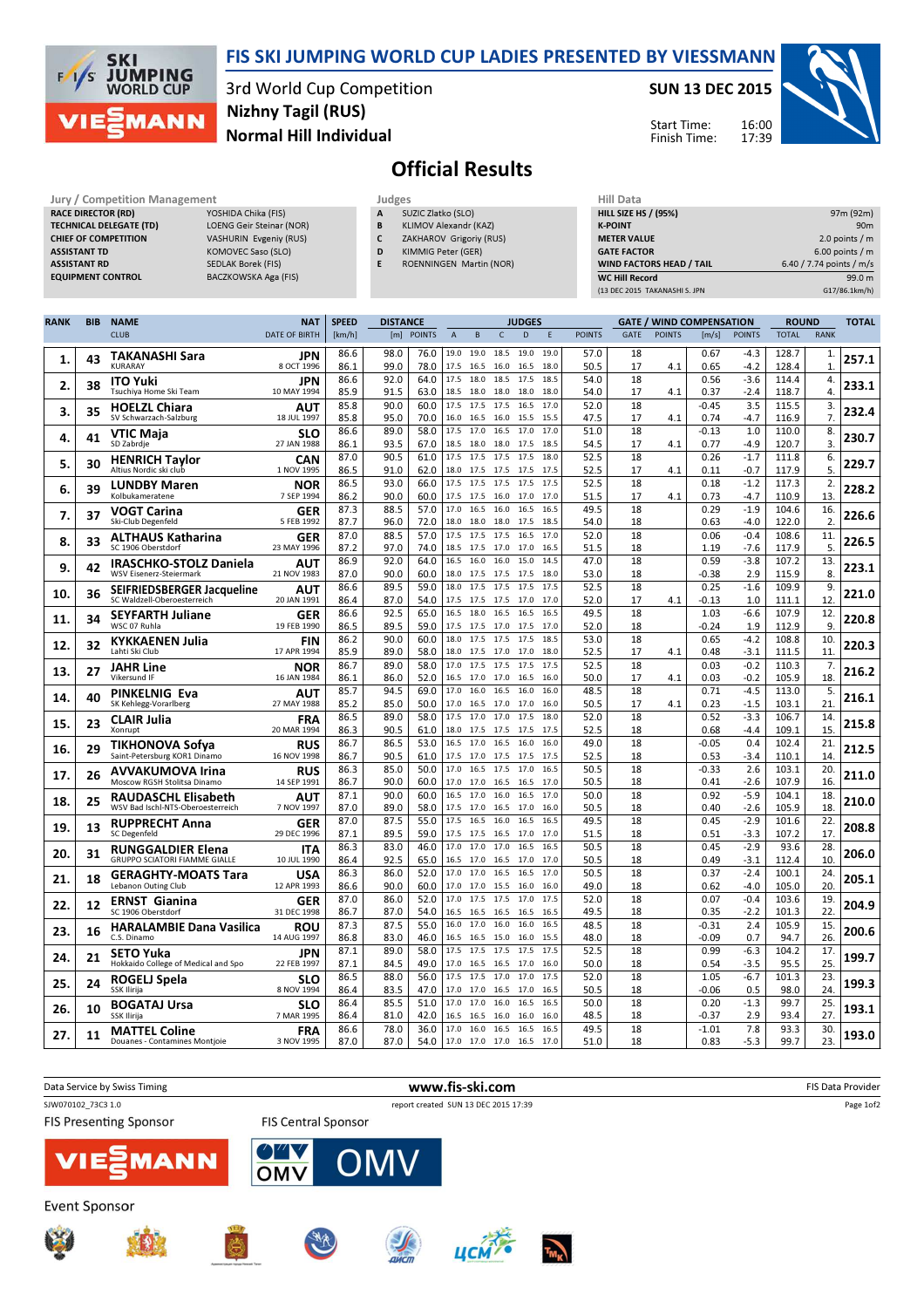

## FIS SKI JUMPING WORLD CUP LADIES PRESENTED BY VIESSMANN

3rd World Cup Competition Normal Hill Individual Nizhny Tagil (RUS)

## SUN 13 DEC 2015

Start Time: Finish Time:



## Official Results

| Jury / Competition Management  |                           |              | Judges                  |                    |  |  |  |  |
|--------------------------------|---------------------------|--------------|-------------------------|--------------------|--|--|--|--|
| <b>RACE DIRECTOR (RD)</b>      | YOSHIDA Chika (FIS)       | $\mathbf{A}$ | SUZIC Zlatko (SLO)      | <b>HILL SIZE H</b> |  |  |  |  |
| <b>TECHNICAL DELEGATE (TD)</b> | LOENG Geir Steinar (NOR)  | B            | KLIMOV Alexandr (KAZ)   | <b>K-POINT</b>     |  |  |  |  |
| <b>CHIEF OF COMPETITION</b>    | VASHURIN Evgeniy (RUS)    |              | ZAKHAROV Grigoriy (RUS) | <b>METER VAI</b>   |  |  |  |  |
| <b>ASSISTANT TD</b>            | KOMOVEC Saso (SLO)        | D            | KIMMIG Peter (GER)      | <b>GATE FACT</b>   |  |  |  |  |
| <b>ASSISTANT RD</b>            | <b>SEDLAK Borek (FIS)</b> | Е            | ROENNINGEN Martin (NOR) | <b>WIND FACT</b>   |  |  |  |  |
| <b>EQUIPMENT CONTROL</b>       | BACZKOWSKA Aga (FIS)      |              |                         | <b>WC Hill Reg</b> |  |  |  |  |

- A SUZIC Zlatko (SLO) B KLIMOV Alexandr (KAZ)
- C ZAKHAROV Grigoriy (RUS)
- D KIMMIG Peter (GER)
- E ROENNINGEN Martin (NOR)

| <b>HILL SIZE HS / (95%)</b>     | 97m (92m)                |
|---------------------------------|--------------------------|
| <b>K-POINT</b>                  | 90 <sub>m</sub>          |
| <b>METER VALUE</b>              | 2.0 points $/m$          |
| <b>GATE FACTOR</b>              | $6.00$ points / m        |
| <b>WIND FACTORS HEAD / TAIL</b> | 6.40 / 7.74 points / m/s |
| <b>WC Hill Record</b>           | 99.0 m                   |
| (13 DEC 2015 TAKANASHI S. JPN   | G17/86.1km/h)            |

16:00 17:39

| <b>RANK</b> | <b>BIB</b> | <b>NAME</b>                                                      | <b>NAT</b>                | <b>SPEED</b> | <b>DISTANCE</b> |               |                         |              | <b>JUDGES</b>                |              |               |             |               | <b>GATE / WIND COMPENSATION</b> |                  | <b>ROUND</b>   |                      | <b>TOTAL</b> |
|-------------|------------|------------------------------------------------------------------|---------------------------|--------------|-----------------|---------------|-------------------------|--------------|------------------------------|--------------|---------------|-------------|---------------|---------------------------------|------------------|----------------|----------------------|--------------|
|             |            | <b>CLUB</b>                                                      | <b>DATE OF BIRTH</b>      | [km/h]       | [m]             | <b>POINTS</b> | $\overline{A}$          | B            | $\mathsf{C}$<br>D            | Ε            | <b>POINTS</b> | <b>GATF</b> | <b>POINTS</b> | [m/s]                           | <b>POINTS</b>    | <b>TOTAL</b>   | <b>RANK</b>          |              |
| 1.          | 43         | <b>TAKANASHI Sara</b>                                            | JPN                       | 86.6         | 98.0            | 76.0          | 19.0                    | 19.0         | 18.5<br>19.0                 | 19.0         | 57.0          | 18          |               | 0.67                            | $-4.3$           | 128.7          | 1.                   | 257.1        |
|             |            | KURARAY                                                          | 8 OCT 1996                | 86.1         | 99.0            | 78.0          | 17.5                    | 16.5         | 16.0<br>16.5                 | 18.0         | 50.5          | 17          | 4.1           | 0.65                            | $-4.2$           | 128.4          | $\mathbf{1}$         |              |
| 2.          | 38         | <b>ITO Yuki</b><br>Tsuchiya Home Ski Team                        | JPN<br>10 MAY 1994        | 86.6<br>85.9 | 92.0<br>91.5    | 64.0<br>63.0  | 17.5<br>18.5            | 18.0<br>18.0 | 18.5<br>17.5<br>18.0<br>18.0 | 18.5<br>18.0 | 54.0<br>54.0  | 18<br>17    | 4.1           | 0.56<br>0.37                    | $-3.6$<br>$-2.4$ | 114.4<br>118.7 | 4.<br>$\overline{4}$ | 233.1        |
| 3.          | 35         | <b>HOELZL Chiara</b>                                             | AUT                       | 85.8         | 90.0            | 60.0          | 17.5                    | 17.5         | 17.5<br>16.5                 | 17.0         | 52.0          | 18          |               | $-0.45$                         | 3.5              | 115.5          | 3.                   | 232.4        |
|             |            | SV Schwarzach-Salzburg                                           | 18 JUL 1997               | 85.8         | 95.0            | 70.0          | 16.0                    | 16.5         | 16.0<br>15.5                 | 15.5         | 47.5          | 17          | 4.1           | 0.74                            | -4.7             | 116.9          | 7.                   |              |
| 4.          | 41         | VTIC Maja<br>SD Zabrdje                                          | <b>SLO</b><br>27 JAN 1988 | 86.6<br>86.1 | 89.0<br>93.5    | 58.0<br>67.0  | 17.5<br>18.5            | 17.0<br>18.0 | 16.5<br>17.0<br>18.0<br>17.5 | 17.0<br>18.5 | 51.0<br>54.5  | 18<br>17    | 4.1           | $-0.13$<br>0.77                 | 1.0<br>$-4.9$    | 110.0<br>120.7 | 8.<br>3.             | 230.7        |
| 5.          | 30         | <b>HENRICH Taylor</b>                                            | CAN                       | 87.0         | 90.5            | 61.0          | 17.5                    | 17.5         | 17.5<br>17.5                 | 18.0         | 52.5          | 18          |               | 0.26                            | $-1.7$           | 111.8          | 6.                   | 229.7        |
|             |            | Altius Nordic ski club                                           | 1 NOV 1995                | 86.5         | 91.0            | 62.0          | 18.0                    | 17.5         | 17.5<br>17.5                 | 17.5         | 52.5          | 17          | 4.1           | 0.11                            | $-0.7$           | 117.9          | 5.                   |              |
| 6.          | 39         | <b>LUNDBY Maren</b><br>Kolbukameratene                           | NOR<br>7 SEP 1994         | 86.5<br>86.2 | 93.0<br>90.0    | 66.0<br>60.0  | 17.5<br>17.5            | 17.5<br>17.5 | 17.5<br>17.5<br>16.0<br>17.0 | 17.5<br>17.0 | 52.5<br>51.5  | 18<br>17    | 4.1           | 0.18<br>0.73                    | $-1.2$<br>-4.7   | 117.3<br>110.9 | 2.<br>13             | 228.2        |
| 7.          | 37         | <b>VOGT Carina</b>                                               | GER                       | 87.3         | 88.5            | 57.0          | 17.0                    | 16.5         | 16.0<br>16.5                 | 16.5         | 49.5          | 18          |               | 0.29                            | $-1.9$           | 104.6          | 16                   | 226.6        |
|             |            | Ski-Club Degenfeld                                               | 5 FEB 1992                | 87.7         | 96.0            | 72.0          | 18.0                    | 18.0         | 18.0 17.5                    | 18.5         | 54.0          | 18          |               | 0.63                            | $-4.0$           | 122.0          | 2.                   |              |
| 8.          | 33         | <b>ALTHAUS Katharina</b><br>SC 1906 Oberstdorf                   | <b>GER</b><br>23 MAY 1996 | 87.0<br>87.2 | 88.5<br>97.0    | 57.0<br>74.0  | 17.5<br>18.5            | 17.5<br>17.5 | 17.5<br>16.5<br>17.0<br>17.0 | 17.0<br>16.5 | 52.0<br>51.5  | 18<br>18    |               | 0.06<br>1.19                    | $-0.4$<br>$-7.6$ | 108.6<br>117.9 | 11.<br>5.            | 226.5        |
| 9.          | 42         | <b>IRASCHKO-STOLZ Daniela</b>                                    | AUT                       | 86.9         | 92.0            | 64.0          | 16.5                    | 16.0         | 16.0<br>15.0                 | 14.5         | 47.0          | 18          |               | 0.59                            | $-3.8$           | 107.2          | 13.                  | 223.1        |
|             |            | WSV Eisenerz-Steiermark                                          | 21 NOV 1983               | 87.0         | 90.0            | 60.0          | 18.0                    | 17.5         | 17.5<br>17.5                 | 18.0         | 53.0          | 18          |               | $-0.38$                         | 2.9              | 115.9          | 8.                   |              |
| 10.         | 36         | SEIFRIEDSBERGER Jacqueline<br>SC Waldzell-Oberoesterreich        | AUT<br>20 JAN 1991        | 86.6<br>86.4 | 89.5<br>87.0    | 59.0<br>54.0  | 18.0<br>17.5            | 17.5<br>17.5 | 17.5<br>17.5<br>17.5<br>17.0 | 17.5<br>17.0 | 52.5<br>52.0  | 18<br>17    | 4.1           | 0.25<br>-0.13                   | $-1.6$<br>1.0    | 109.9<br>111.1 | 9.<br>12             | 221.0        |
|             | 34         | <b>SEYFARTH Juliane</b>                                          | GER                       | 86.6         | 92.5            | 65.0          | 16.5                    | 18.0         | 16.5<br>16.5                 | 16.5         | 49.5          | 18          |               | 1.03                            | $-6.6$           | 107.9          | 12.                  |              |
| 11.         |            | WSC 07 Ruhla                                                     | 19 FEB 1990               | 86.5         | 89.5            | 59.0          | 17.5                    | 17.5         | 17.0<br>17.5                 | 17.0         | 52.0          | 18          |               | $-0.24$                         | 1.9              | 112.9          | 9                    | 220.8        |
| 12.         | 32         | <b>KYKKAENEN Julia</b><br>Lahti Ski Club                         | <b>FIN</b><br>17 APR 1994 | 86.2<br>85.9 | 90.0<br>89.0    | 60.0<br>58.0  | 18.0<br>18.0            | 17.5<br>17.5 | 17.5<br>17.5<br>17.0<br>17.0 | 18.5<br>18.0 | 53.0<br>52.5  | 18<br>17    | 4.1           | 0.65<br>0.48                    | $-4.2$<br>$-3.1$ | 108.8<br>111.5 | 10<br>11             | 220.3        |
|             |            | <b>JAHR Line</b>                                                 | <b>NOR</b>                | 86.7         | 89.0            | 58.0          | 17.0                    | 17.5         | 17.5<br>17.5                 | 17.5         | 52.5          | 18          |               | 0.03                            | $-0.2$           | 110.3          | 7.                   |              |
| 13.         | 27         | Vikersund IF                                                     | 16 JAN 1984               | 86.1         | 86.0            | 52.0          | 16.5                    | 17.0         | 17.0<br>16.5                 | 16.0         | 50.0          | 17          | 4.1           | 0.03                            | $-0.2$           | 105.9          | 18                   | 216.2        |
| 14.         | 40         | <b>PINKELNIG Eva</b><br>SK Kehlegg-Vorarlberg                    | AUT<br>27 MAY 1988        | 85.7<br>85.2 | 94.5<br>85.0    | 69.0<br>50.0  | 17.0<br>17.0            | 16.0<br>16.5 | 16.5<br>16.0<br>17.0<br>17.0 | 16.0<br>16.0 | 48.5<br>50.5  | 18<br>17    | 4.1           | 0.71<br>0.23                    | $-4.5$<br>$-1.5$ | 113.0<br>103.1 | 5.<br>21             | 216.1        |
|             |            | <b>CLAIR Julia</b>                                               | <b>FRA</b>                | 86.5         | 89.0            | 58.0          | 17.5                    | 17.0         | 17.0<br>17.5                 | 18.0         | 52.0          | 18          |               | 0.52                            | $-3.3$           | 106.7          | 14.                  |              |
| 15,         | 23         | Xonrupt                                                          | 20 MAR 1994               | 86.3         | 90.5            | 61.0          | 18.0                    | 17.5 17.5    | 17.5                         | 17.5         | 52.5          | 18          |               | 0.68                            | $-4.4$           | 109.1          | 15                   | 215.8        |
| 16.         | 29         | <b>TIKHONOVA Sofya</b><br>Saint-Petersburg KOR1 Dinamo           | <b>RUS</b><br>16 NOV 1998 | 86.7<br>86.7 | 86.5<br>90.5    | 53.0<br>61.0  | 16.5<br>17.5            | 17.0<br>17.0 | 16.5<br>16.0<br>17.5<br>17.5 | 16.0<br>17.5 | 49.0<br>52.5  | 18<br>18    |               | $-0.05$<br>0.53                 | 0.4<br>$-3.4$    | 102.4<br>110.1 | 21.<br>14            | 212.5        |
|             |            | <b>AVVAKUMOVA Irina</b>                                          | <b>RUS</b>                | 86.3         | 85.0            | 50.0          | 17.0                    | 16.5         | 17.5<br>17.0                 | 16.5         | 50.5          | 18          |               | $-0.33$                         | 2.6              | 103.1          | 20.                  |              |
| 17.         | 26         | Moscow RGSH Stolitsa Dinamo                                      | 14 SEP 1991               | 86.7         | 90.0            | 60.0          | 17.0                    | 17.0         | 16.5<br>16.5                 | 17.0         | 50.5          | 18          |               | 0.41                            | $-2.6$           | 107.9          | 16                   | 211.0        |
| 18.         | 25         | <b>RAUDASCHL Elisabeth</b><br>WSV Bad Ischl-NTS-Oberoesterreich  | AUT<br>7 NOV 1997         | 87.1<br>87.0 | 90.0<br>89.0    | 60.0<br>58.0  | 16.5<br>17.5            | 17.0<br>17.0 | 16.0<br>16.5<br>16.5<br>17.0 | 17.0<br>16.0 | 50.0<br>50.5  | 18<br>18    |               | 0.92<br>0.40                    | $-5.9$<br>$-2.6$ | 104.1<br>105.9 | 18<br>18             | 210.0        |
|             |            | <b>RUPPRECHT Anna</b>                                            | <b>GER</b>                | 87.0         | 87.5            | 55.0          | 17.5                    | 16.5         | 16.0<br>16.5                 | 16.5         | 49.5          | 18          |               | 0.45                            | $-2.9$           | 101.6          | 22.                  |              |
| 19.         | 13         | SC Degenfeld                                                     | 29 DEC 1996               | 87.1         | 89.5            | 59.0          | 17.5                    | 17.5         | 16.5<br>17.0                 | 17.0         | 51.5          | 18          |               | 0.51                            | $-3.3$           | 107.2          | 17.                  | 208.8        |
| 20.         | 31         | <b>RUNGGALDIER Elena</b><br><b>GRUPPO SCIATORI FIAMME GIALLE</b> | <b>ITA</b><br>10 JUL 1990 | 86.3<br>86.4 | 83.0<br>92.5    | 46.0<br>65.0  | 17.0<br>16.5            | 17.0<br>17.0 | 17.0<br>16.5<br>16.5<br>17.0 | 16.5<br>17.0 | 50.5<br>50.5  | 18<br>18    |               | 0.45<br>0.49                    | $-2.9$<br>$-3.1$ | 93.6<br>112.4  | 28<br>10             | 206.0        |
|             | 18         | <b>GERAGHTY-MOATS Tara</b>                                       | USA                       | 86.3         | 86.0            | 52.0          | 17.0                    | 17.0         | 16.5<br>16.5                 | 17.0         | 50.5          | 18          |               | 0.37                            | $-2.4$           | 100.1          | 24                   | 205.1        |
| 21.         |            | Lebanon Outing Club                                              | 12 APR 1993               | 86.6         | 90.0            | 60.0          | 17.0                    | 17.0         | 15.5<br>16.0                 | 16.0         | 49.0          | 18          |               | 0.62                            | $-4.0$           | 105.0          | 20                   |              |
| 22.         | 12         | <b>ERNST Gianina</b><br>SC 1906 Oberstdorf                       | <b>GER</b><br>31 DEC 1998 | 87.0<br>86.7 | 86.0<br>87.0    | 52.0<br>54.0  | 17.0<br>16.5            | 17.5<br>16.5 | 17.5<br>17.0<br>16.5<br>16.5 | 17.5<br>16.5 | 52.0<br>49.5  | 18<br>18    |               | 0.07<br>0.35                    | $-0.4$<br>$-2.2$ | 103.6<br>101.3 | 19<br>22             | 204.9        |
|             |            | <b>HARALAMBIE Dana Vasilica</b>                                  | ROU                       | 87.3         | 87.5            | 55.0          | 16.0                    | 17.0         | 16.0<br>16.0                 | 16.5         | 48.5          | 18          |               | $-0.31$                         | 2.4              | 105.9          | 15                   |              |
| 23.         | 16         | C.S. Dinamo                                                      | 14 AUG 1997               | 86.8         | 83.0            | 46.0          | 16.5                    | 16.5         | 15.0<br>16.0                 | 15.5         | 48.0          | 18          |               | $-0.09$                         | 0.7              | 94.7           | 26                   | 200.6        |
| 24.         | 21         | <b>SETO Yuka</b><br>Hokkaido College of Medical and Spo          | <b>JPN</b><br>22 FEB 1997 | 87.1<br>87.1 | 89.0<br>84.5    | 58.0<br>49.0  | 17.5<br>17 <sub>0</sub> | 17.5<br>16.5 | 17.5<br>17.5<br>16.5<br>17.0 | 17.5<br>16.0 | 52.5<br>50.0  | 18<br>18    |               | 0.99<br>0.54                    | $-6.3$<br>$-3.5$ | 104.2<br>95.5  | 17.<br>25            | 199.7        |
|             |            | <b>ROGELJ Spela</b>                                              | <b>SLO</b>                | 86.5         | 88.0            | 56.0          | 17.5                    | 17.5         | 17.0<br>17.0                 | 17.5         | 52.0          | 18          |               | 1.05                            | $-6.7$           | 101.3          | 23.                  |              |
| 25          | 24         | SSK Ilirija                                                      | 8 NOV 1994                | 86.4         | 83.5            | 47.0          | 17.0                    | 17.0         | 16.5<br>17.0                 | 16.5         | 50.5          | 18          |               | $-0.06$                         | 0.5              | 98.0           | 24                   | 199.3        |
| 26.         | 10         | <b>BOGATAJ Ursa</b><br>SSK Ilirija                               | <b>SLO</b><br>7 MAR 1995  | 86.4<br>86.4 | 85.5<br>81.0    | 51.0<br>42.0  | 17.0<br>16.5            | 17.0<br>16.5 | 16.0<br>16.5<br>16.0<br>16.0 | 16.5<br>16.0 | 50.0<br>48.5  | 18<br>18    |               | 0.20<br>$-0.37$                 | $-1.3$<br>2.9    | 99.7<br>93.4   | 25<br>27             | 193.1        |
|             |            | <b>MATTEL Coline</b>                                             | <b>FRA</b>                | 86.6         | 78.0            | 36.0          | 17.0                    | 16.0         | 16.5<br>16.5                 | 16.5         | 49.5          | 18          |               | $-1.01$                         | 7.8              | 93.3           | 30                   |              |
| 27.         | 11         | Douanes - Contamines Montjoie                                    | 3 NOV 1995                | 87.0         | 87.0            | 54.0          | 17.0                    | 17.0 17.0    | 16.5                         | 17.0         | 51.0          | 18          |               | 0.83                            | $-5.3$           | 99.7           | 23                   | 193.0        |